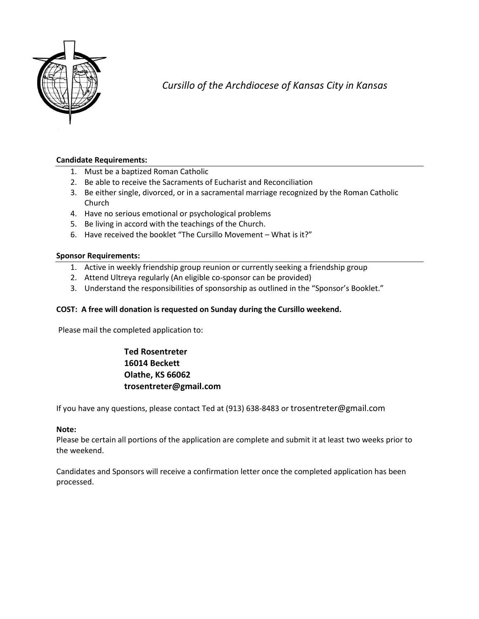

*Cursillo of the Archdiocese of Kansas City in Kansas*

### **Candidate Requirements:**

- 1. Must be a baptized Roman Catholic
- 2. Be able to receive the Sacraments of Eucharist and Reconciliation
- 3. Be either single, divorced, or in a sacramental marriage recognized by the Roman Catholic Church
- 4. Have no serious emotional or psychological problems
- 5. Be living in accord with the teachings of the Church.
- 6. Have received the booklet "The Cursillo Movement What is it?"

### **Sponsor Requirements:**

- 1. Active in weekly friendship group reunion or currently seeking a friendship group
- 2. Attend Ultreya regularly (An eligible co-sponsor can be provided)
- 3. Understand the responsibilities of sponsorship as outlined in the "Sponsor's Booklet."

### **COST: A free will donation is requested on Sunday during the Cursillo weekend.**

Please mail the completed application to:

## **Ted Rosentreter 16014 Beckett Olathe, KS 66062 trosentreter@gmail.com**

If you have any questions, please contact Ted at (913) 638-8483 or trosentreter@gmail.com

### **Note:**

Please be certain all portions of the application are complete and submit it at least two weeks prior to the weekend.

Candidates and Sponsors will receive a confirmation letter once the completed application has been processed.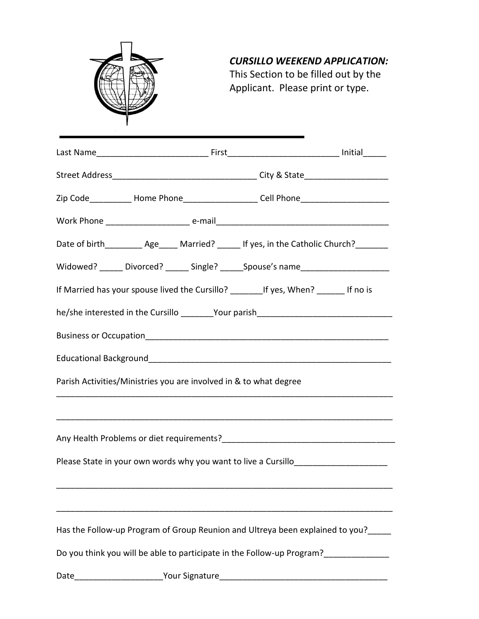

# *CURSILLO WEEKEND APPLICATION:*

This Section to be filled out by the Applicant. Please print or type.

| Zip Code____________ Home Phone______________________Cell Phone__________________             |  |  |
|-----------------------------------------------------------------------------------------------|--|--|
|                                                                                               |  |  |
| Date of birth____________ Age______ Married? _______ If yes, in the Catholic Church?_________ |  |  |
| Widowed? _____ Divorced? _____ Single? _____ Spouse's name _____________________              |  |  |
| If Married has your spouse lived the Cursillo? __________ If yes, When? ________ If no is     |  |  |
| he/she interested in the Cursillo ________Your parish___________________________              |  |  |
|                                                                                               |  |  |
|                                                                                               |  |  |
| Parish Activities/Ministries you are involved in & to what degree                             |  |  |
|                                                                                               |  |  |
|                                                                                               |  |  |
| Please State in your own words why you want to live a Cursillo__________________              |  |  |
|                                                                                               |  |  |
| Has the Follow-up Program of Group Reunion and Ultreya been explained to you?                 |  |  |
| Do you think you will be able to participate in the Follow-up Program?                        |  |  |
| Your Signature                                                                                |  |  |
|                                                                                               |  |  |